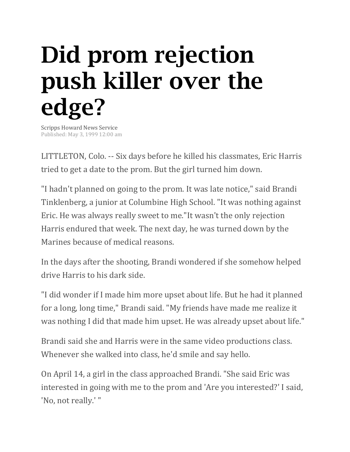## Did prom rejection push killer over the edge?

Scripps Howard News Service Published: May 3, 1999 12:00 am

LITTLETON, Colo. -- Six days before he killed his classmates, Eric Harris tried to get a date to the prom. But the girl turned him down.

"I hadn't planned on going to the prom. It was late notice," said Brandi Tinklenberg, a junior at Columbine High School. "It was nothing against Eric. He was always really sweet to me."It wasn't the only rejection Harris endured that week. The next day, he was turned down by the Marines because of medical reasons.

In the days after the shooting, Brandi wondered if she somehow helped drive Harris to his dark side.

"I did wonder if I made him more upset about life. But he had it planned for a long, long time," Brandi said. "My friends have made me realize it was nothing I did that made him upset. He was already upset about life."

Brandi said she and Harris were in the same video productions class. Whenever she walked into class, he'd smile and say hello.

On April 14, a girl in the class approached Brandi. "She said Eric was interested in going with me to the prom and 'Are you interested?' I said, 'No, not really.' "